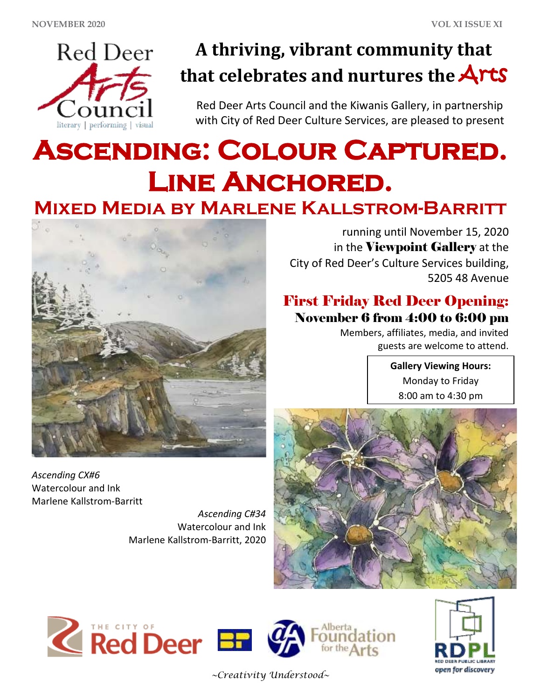

## **A thriving, vibrant community that that celebrates and nurtures the** Arts

Red Deer Arts Council and the Kiwanis Gallery, in partnership with City of Red Deer Culture Services, are pleased to present

# **Ascending: Colour Captured. Line Anchored. Mixed Media by Marlene Kallstrom-Barritt**



running until November 15, 2020 in the Viewpoint Gallery at the City of Red Deer's Culture Services building, 5205 48 Avenue

### First Friday Red Deer Opening: November 6 from 4:00 to 6:00 pm

Members, affiliates, media, and invited guests are welcome to attend.

> **Gallery Viewing Hours:** Monday to Friday 8:00 am to 4:30 pm

*Ascending CX#6* Watercolour and Ink Marlene Kallstrom-Barritt

*Ascending C#34* Watercolour and Ink Marlene Kallstrom-Barritt, 2020





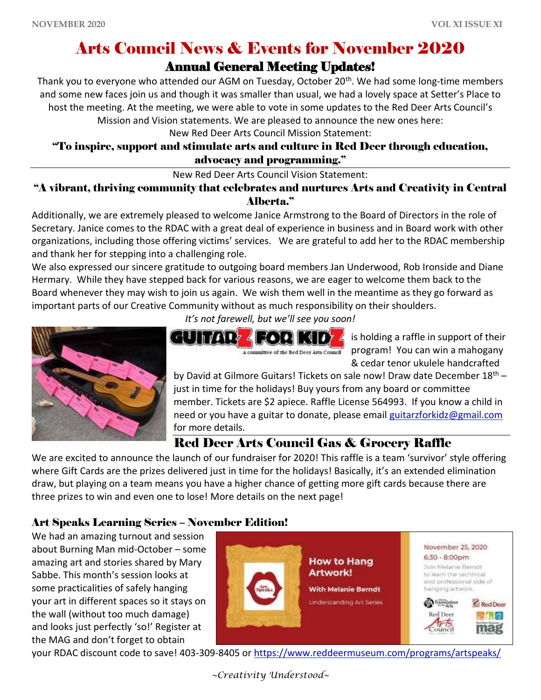## Arts Council News & Events for November 2020

#### Annual General Meeting Updates!

Thank you to everyone who attended our AGM on Tuesday, October 20<sup>th</sup>. We had some long-time members and some new faces join us and though it was smaller than usual, we had a lovely space at Setter's Place to host the meeting. At the meeting, we were able to vote in some updates to the Red Deer Arts Council's

Mission and Vision statements. We are pleased to announce the new ones here:

New Red Deer Arts Council Mission Statement:

#### "To inspire, support and stimulate arts and culture in Red Deer through education, advocacy and programming."

New Red Deer Arts Council Vision Statement:

"A vibrant, thriving community that celebrates and nurtures Arts and Creativity in Central Alberta."

Additionally, we are extremely pleased to welcome Janice Armstrong to the Board of Directors in the role of Secretary. Janice comes to the RDAC with a great deal of experience in business and in Board work with other organizations, including those offering victims' services. We are grateful to add her to the RDAC membership and thank her for stepping into a challenging role.

We also expressed our sincere gratitude to outgoing board members Jan Underwood, Rob Ironside and Diane Hermary. While they have stepped back for various reasons, we are eager to welcome them back to the Board whenever they may wish to join us again. We wish them well in the meantime as they go forward as important parts of our Creative Community without as much responsibility on their shoulders.



is holding a raffle in support of their program! You can win a mahogany & cedar tenor ukulele handcrafted

by David at Gilmore Guitars! Tickets on sale now! Draw date December 18<sup>th</sup> just in time for the holidays! Buy yours from any board or committee member. Tickets are \$2 apiece. Raffle License 564993. If you know a child in need or you have a guitar to donate, please email [guitarzforkidz@gmail.com](mailto:guitarzforkidz@gmail.com) for more details.

### Red Deer Arts Council Gas & Grocery Raffle

A committee of the Red Deer Arts Council

We are excited to announce the launch of our fundraiser for 2020! This raffle is a team 'survivor' style offering where Gift Cards are the prizes delivered just in time for the holidays! Basically, it's an extended elimination draw, but playing on a team means you have a higher chance of getting more gift cards because there are three prizes to win and even one to lose! More details on the next page!

#### Art Speaks Learning Series – November Edition!

We had an amazing turnout and session about Burning Man mid-October – some amazing art and stories shared by Mary Sabbe. This month's session looks at some practicalities of safely hanging your art in different spaces so it stays on the wall (without too much damage) and looks just perfectly 'so!' Register at the MAG and don't forget to obtain



your RDAC discount code to save! 403-309-8405 or<https://www.reddeermuseum.com/programs/artspeaks/>

*~Creativity Understood~*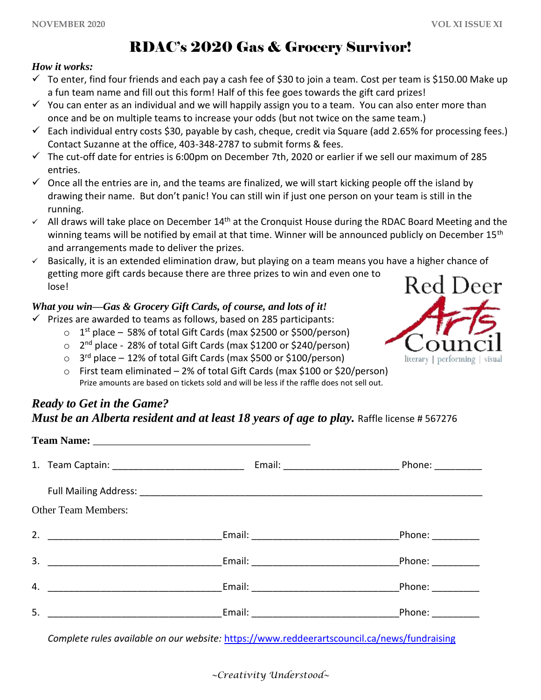## RDAC's 2020 Gas & Grocery Survivor!

#### *How it works:*

- $\checkmark$  To enter, find four friends and each pay a cash fee of \$30 to join a team. Cost per team is \$150.00 Make up a fun team name and fill out this form! Half of this fee goes towards the gift card prizes!
- $\checkmark$  You can enter as an individual and we will happily assign you to a team. You can also enter more than once and be on multiple teams to increase your odds (but not twice on the same team.)
- $\checkmark$  Each individual entry costs \$30, payable by cash, cheque, credit via Square (add 2.65% for processing fees.) Contact Suzanne at the office, 403-348-2787 to submit forms & fees.
- $\checkmark$  The cut-off date for entries is 6:00pm on December 7th, 2020 or earlier if we sell our maximum of 285 entries.
- $\checkmark$  Once all the entries are in, and the teams are finalized, we will start kicking people off the island by drawing their name. But don't panic! You can still win if just one person on your team is still in the running.
- $\checkmark$  All draws will take place on December 14<sup>th</sup> at the Cronquist House during the RDAC Board Meeting and the winning teams will be notified by email at that time. Winner will be announced publicly on December 15<sup>th</sup> and arrangements made to deliver the prizes.
- ✓ Basically, it is an extended elimination draw, but playing on a team means you have a higher chance of getting more gift cards because there are three prizes to win and even one to lose!

#### *What you win—Gas & Grocery Gift Cards, of course, and lots of it!*

- $\checkmark$  Prizes are awarded to teams as follows, based on 285 participants:
	- $\circ$  1<sup>st</sup> place 58% of total Gift Cards (max \$2500 or \$500/person)
	- o 2<sup>nd</sup> place 28% of total Gift Cards (max \$1200 or \$240/person)
	- 3<sup>rd</sup> place 12% of total Gift Cards (max \$500 or \$100/person)
	- o First team eliminated 2% of total Gift Cards (max \$100 or \$20/person) Prize amounts are based on tickets sold and will be less if the raffle does not sell out.

#### *Ready to Get in the Game? Must be an Alberta resident and at least 18 years of age to play. Raffle license # 567276*

| <b>Other Team Members:</b> |                                                                                                                                                                                                                                      |  |
|----------------------------|--------------------------------------------------------------------------------------------------------------------------------------------------------------------------------------------------------------------------------------|--|
|                            |                                                                                                                                                                                                                                      |  |
|                            |                                                                                                                                                                                                                                      |  |
| 4.                         |                                                                                                                                                                                                                                      |  |
| 5.                         | <u>Email: Email: Email: Phone: Phone: Phone: Phone: Phone: Phone: Phone: Phone: Phone: Phone: Phone: Phone: Phone: Phone: Phone: Phone: Phone: Phone: Phone: Phone: Phone: Phone: Phone: Phone: Phone: Phone: Phone: Phone: Phon</u> |  |
|                            |                                                                                                                                                                                                                                      |  |

*Complete rules available on our website:* <https://www.reddeerartscouncil.ca/news/fundraising>